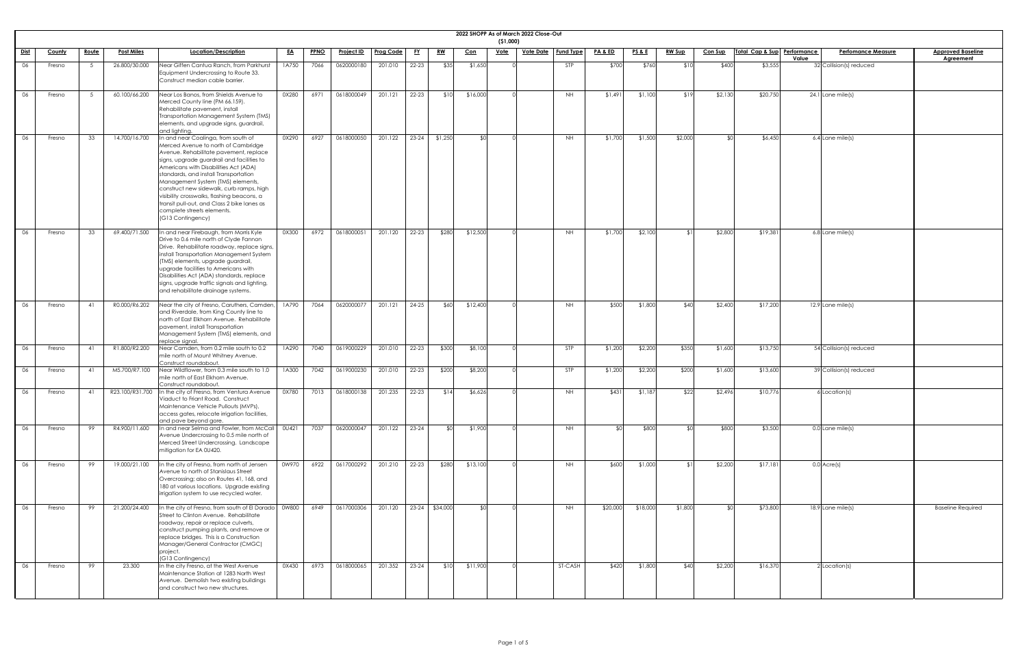|             |               |              |                   |                                                                                                                                                                                                                                                                                                                                                                                                                                                                                       |           |             |                   |                  |           |           |            | ( \$1,000)  | 2022 SHOPP As of March 2022 Close-Out |                  |                    |                 |               |                |                             |                                    |                                              |
|-------------|---------------|--------------|-------------------|---------------------------------------------------------------------------------------------------------------------------------------------------------------------------------------------------------------------------------------------------------------------------------------------------------------------------------------------------------------------------------------------------------------------------------------------------------------------------------------|-----------|-------------|-------------------|------------------|-----------|-----------|------------|-------------|---------------------------------------|------------------|--------------------|-----------------|---------------|----------------|-----------------------------|------------------------------------|----------------------------------------------|
| <u>Dist</u> | <u>County</u> | <u>Route</u> | <b>Post Miles</b> | Location/Description                                                                                                                                                                                                                                                                                                                                                                                                                                                                  | <u>EA</u> | <b>PPNO</b> | <u>Project ID</u> | <b>Prog Code</b> | <u>FY</u> | <u>RW</u> | <u>Con</u> | <u>Vote</u> | <u>Vote Date</u>                      | <b>Fund Type</b> | <u>PA &amp; ED</u> | <u>PS&amp;E</u> | <b>RW Sup</b> | <b>Con Sup</b> | Total Cap & Sup Performance | <b>Perfomance Measure</b><br>Value | <b>Approved Baseline</b><br><b>Agreement</b> |
| 06          | Fresno        |              | 26.800/30.000     | Near Giffen Cantua Ranch, from Parkhurst<br>Equipment Undercrossing to Route 33.<br>Construct median cable barrier.                                                                                                                                                                                                                                                                                                                                                                   | 1A750     | 7066        | 0620000180        | 201.010          | 22-23     | \$35      | \$1,650    |             |                                       | <b>STP</b>       | \$700              | \$760           | \$10          | \$400          | \$3,555                     | 32 Collision(s) reduced            |                                              |
| 06          | Fresno        |              | 60.100/66.200     | Near Los Banos, from Shields Avenue to<br>Merced County line (PM 66.159).<br>Rehabilitate pavement, install<br>Transportation Management System (TMS)<br>elements, and upgrade signs, guardrail,<br>and lighting.                                                                                                                                                                                                                                                                     | 0X280     | 6971        | 0618000049        | 201.121          | 22-23     | \$10      | \$16,000   |             |                                       | NH               | \$1,491            | \$1,100         | \$19          | \$2,130        | \$20,750                    | $24.1$ Lane mile(s)                |                                              |
| 06          | Fresno        | 33           | 14.700/16.700     | In and near Coalinga, from south of<br>Merced Avenue to north of Cambridge<br>Avenue. Rehabilitate pavement, replace<br>signs, upgrade guardrail and facilities to<br>Americans with Disabilities Act (ADA)<br>standards, and install Transportation<br>Management System (TMS) elements,<br>construct new sidewalk, curb ramps, high<br>visibility crosswalks, flashing beacons, a<br>transit pull-out, and Class 2 bike lanes as<br>complete streets elements.<br>(G13 Contingency) | 0X290     | 6927        | 0618000050        | 201.122          | $23 - 24$ | \$1,250   | SOI.       |             |                                       | <b>NH</b>        | \$1,700            | \$1,500         | \$2,000       |                | \$6,450                     | 6.4 Lane mile(s)                   |                                              |
| 06          | Fresno        | 33           | 69.400/71.500     | In and near Firebaugh, from Morris Kyle<br>Drive to 0.6 mile north of Clyde Fannon<br>Drive. Rehabilitate roadway, replace signs,<br>install Transportation Management System<br>(TMS) elements, upgrade guardrail,<br>upgrade facilities to Americans with<br>Disabilities Act (ADA) standards, replace<br>signs, upgrade traffic signals and lighting,<br>and rehabilitate drainage systems.                                                                                        | 0X300     | 6972        | 0618000051        | 201.120          | 22-23     | \$280     | \$12,500   |             |                                       | <b>NH</b>        | \$1,700            | \$2,100         |               | \$2,800        | \$19,381                    | 6.8 Lane mile(s)                   |                                              |
| 06          | Fresno        | 41           | R0.000/R6.202     | Near the city of Fresno, Caruthers, Camden,<br>and Riverdale, from King County line to<br>north of East Elkhorn Avenue. Rehabilitate<br>pavement, install Transportation<br>Management System (TMS) elements, and<br>replace signal.                                                                                                                                                                                                                                                  | 1A790     | 7064        | 0620000077        | 201.121          | $24 - 25$ | \$60      | \$12,400   |             |                                       | NH.              | \$500              | \$1,800         | \$40          | \$2,400        | \$17,200                    | $12.9$ Lane mile(s)                |                                              |
| 06          | Fresno        | 41           | R1.800/R2.200     | Near Camden, from 0.2 mile south to 0.2<br>mile north of Mount Whitney Avenue.<br>Construct roundabout.                                                                                                                                                                                                                                                                                                                                                                               | 1A290     | 7040        | 0619000229        | 201.010          | 22-23     | \$300     | \$8,100    |             |                                       | STP              | \$1,200            | \$2,200         | \$350         | \$1,600        | \$13,750                    | 54 Collision(s) reduced            |                                              |
| 06          | Fresno        | 41           | M5.700/R7.100     | Near Wildflower, from 0.3 mile south to 1.0<br>mile north of East Elkhorn Avenue.<br>Construct roundabout.                                                                                                                                                                                                                                                                                                                                                                            | 1A300     | 7042        | 0619000230        | 201.010          | 22-23     | \$200     | \$8,200    |             |                                       | STP              | \$1,200            | \$2,200         | \$200         | \$1,600        | \$13,600                    | 39 Collision(s) reduced            |                                              |
| 06          | Fresno        |              | R23.100/R31.700   | In the city of Fresno, from Ventura Avenue<br>Viaduct to Friant Road. Construct<br>Maintenance Vehicle Pullouts (MVPs),<br>access gates, relocate irrigation facilities,<br>and pave beyond gore.                                                                                                                                                                                                                                                                                     | 0X780     | 7013        | 0618000138        | 201.235          | $22 - 23$ | \$14      | \$6,626    |             |                                       | NH               | \$431              | \$1,187         | \$22          | \$2,496        | \$10,776                    | $6$ Location(s)                    |                                              |
| 06          | Fresno        | 99           | R4.900/11.600     | In and near Selma and Fowler, from McCall<br>Avenue Undercrossing to 0.5 mile north of<br>Merced Street Undercrossing. Landscape<br>mitigation for EA 0U420.                                                                                                                                                                                                                                                                                                                          | OU421     | 7037        | 0620000047        | 201.122          | $23 - 24$ |           | \$1,900    |             |                                       | <b>NH</b>        |                    | \$800           |               | \$800          | \$3,500                     | 0.0 Lane mile(s)                   |                                              |
| 06          | Fresno        | 99           | 19.000/21.100     | In the city of Fresno, from north of Jensen<br>Avenue to north of Stanislaus Street<br>Overcrossing; also on Routes 41, 168, and<br>180 at various locations. Upgrade existing<br>irrigation system to use recycled water.                                                                                                                                                                                                                                                            | 0W970     | 6922        | 0617000292        | 201.210          | 22-23     | \$280     | \$13,100   |             |                                       | NH               | \$600              | \$1,000         |               | \$2,200        | \$17,181                    | $0.0$ Acre(s)                      |                                              |
| 06          | Fresno        | 99           | 21.200/24.400     | In the city of Fresno, from south of El Dorado<br>Street to Clinton Avenue. Rehabilitate<br>roadway, repair or replace culverts,<br>construct pumping plants, and remove or<br>replace bridges. This is a Construction<br>Manager/General Contractor (CMGC)<br>project.<br>(G13 Contingency)                                                                                                                                                                                          | 0W800     | 6949        | 0617000306        | 201.120          | $23 - 24$ | \$34,000  | ו∩≯        |             |                                       | <b>NH</b>        | \$20,000           | \$18,000        | \$1,800       |                | \$73,800                    | 18.9 Lane mile(s)                  | <b>Baseline Required</b>                     |
| 06          | Fresno        | 99           | 23.300            | In the city Fresno, at the West Avenue<br>Maintenance Station at 1283 North West<br>Avenue. Demolish two existing buildings<br>and construct two new structures.                                                                                                                                                                                                                                                                                                                      | 0X430     | 6973        | 0618000065        | 201.352          | 23-24     | \$10      | \$11,900   |             |                                       | ST-CASH          | \$420              | \$1,800         | \$40          | \$2,200        | \$16,370                    | 2 Location(s)                      |                                              |

| ֚֚֚֬ |
|------|
|      |
|      |
|      |
|      |
|      |
|      |
|      |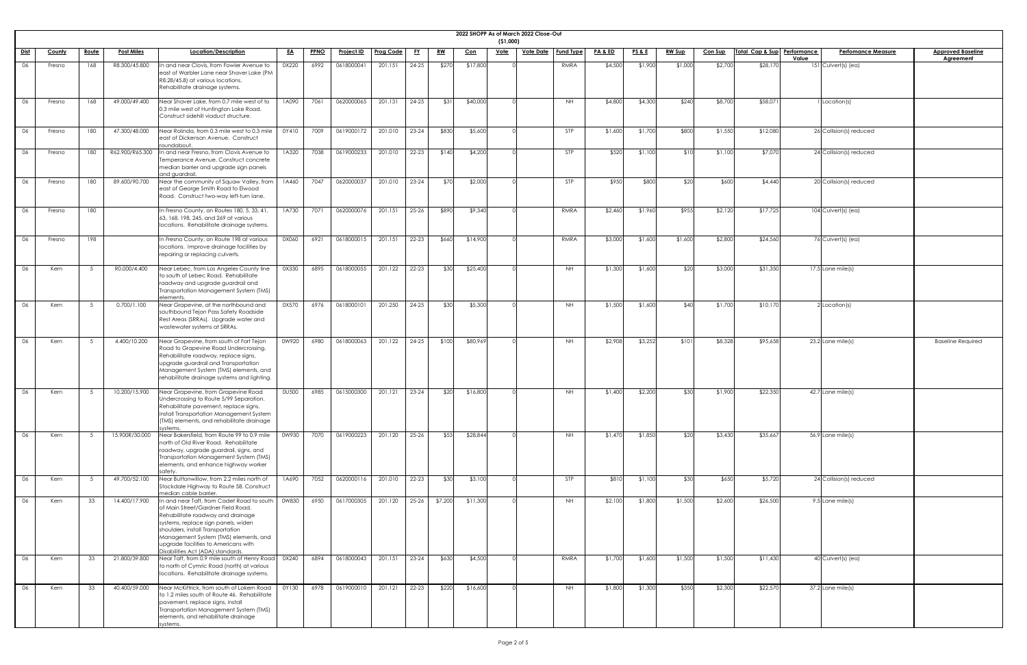|             |               |              |                   |                                                                                                                                                                                                                                                                                                                         |              |             |                   |                  |           |           |            | (51,000)    | 2022 SHOPP As of March 2022 Close-Out |                  |                    |                 |               |                |                             |       |                           |                                              |
|-------------|---------------|--------------|-------------------|-------------------------------------------------------------------------------------------------------------------------------------------------------------------------------------------------------------------------------------------------------------------------------------------------------------------------|--------------|-------------|-------------------|------------------|-----------|-----------|------------|-------------|---------------------------------------|------------------|--------------------|-----------------|---------------|----------------|-----------------------------|-------|---------------------------|----------------------------------------------|
| <u>Dist</u> | <b>County</b> | <u>Route</u> | <b>Post Miles</b> | Location/Description                                                                                                                                                                                                                                                                                                    | <u>EA</u>    | <b>PPNO</b> | <b>Project ID</b> | <b>Prog Code</b> | <u>FY</u> | <u>RW</u> | <u>Con</u> | <b>Vote</b> | <u>Vote Date</u>                      | <b>Fund Type</b> | <u>PA &amp; ED</u> | <u>PS&amp;E</u> | <b>RW Sup</b> | <b>Con Sup</b> | Total Cap & Sup Performance | Value | <b>Perfomance Measure</b> | <b>Approved Baseline</b><br><b>Agreement</b> |
| 06          | Fresno        | 168          | R8.300/45.800     | In and near Clovis, from Fowler Avenue to<br>east of Warbler Lane near Shaver Lake (PM<br>R8.28/45.8) at various locations.<br>Rehabilitate drainage systems.                                                                                                                                                           | 0X220        | 6992        | 0618000041        | 201.151          | $24 - 25$ | \$270     | \$17,800   |             |                                       | RMRA             | \$4,500            | \$1,900         | \$1,000       | \$2,700        | \$28,170                    |       | 151 Culvert(s) (ea)       |                                              |
| 06          | Fresno        | 168          | 49.000/49.400     | Near Shaver Lake, from 0.7 mile west of to<br>0.3 mile west of Huntington Lake Road.<br>Construct sidehill viaduct structure.                                                                                                                                                                                           | 1A090        | 7061        | 0620000065        | 201.131          | $24 - 25$ | \$31      | \$40,000   |             |                                       | <b>NH</b>        | \$4,800            | \$4,300         | \$240         | \$8,700        | \$58,071                    |       | Location(s)               |                                              |
| 06          | Fresno        | 180          | 47.300/48.000     | Near Rolinda, from 0.3 mile west to 0.3 mile<br>least of Dickenson Avenue. Construct<br>roundabout                                                                                                                                                                                                                      | 0Y410        | 7009        | 0619000172        | 201.010          | $23 - 24$ | \$830     | \$5,600    |             |                                       | <b>STP</b>       | \$1,600            | \$1,700         | \$800         | \$1,550        | \$12,080                    |       | 26 Collision(s) reduced   |                                              |
| 06          | Fresno        | 180          | R62.900/R65.300   | In and near Fresno, from Clovis Avenue to<br>Temperance Avenue. Construct concrete<br>median barrier and upgrade sign panels<br>and guardrail.                                                                                                                                                                          | 1A320        | 7038        | 0619000233        | 201.010          | $22 - 23$ | \$140     | \$4,200    |             |                                       | <b>STP</b>       | \$520              | \$1,100         | \$10          | \$1,100        | \$7,070                     |       | 24 Collision(s) reduced   |                                              |
| 06          | Fresno        | 180          | 89.600/90.700     | Near the community of Squaw Valley, from<br>east of George Smith Road to Elwood<br>Road. Construct two-way left-turn lane.                                                                                                                                                                                              | 1A460        | 7047        | 0620000037        | 201.010          | $23 - 24$ | \$70      | \$2,000    |             |                                       | <b>STP</b>       | \$950              | \$800           | \$20          | \$600          | \$4,440                     |       | 20 Collision(s) reduced   |                                              |
| 06          | Fresno        | 180          |                   | In Fresno County, on Routes 180, 5, 33, 41,<br>63, 168, 198, 245, and 269 at various<br>locations. Rehabilitate drainage systems.                                                                                                                                                                                       | 1A730        | 7071        | 0620000076        | 201.151          | $25 - 26$ | \$890     | \$9,340    |             |                                       | RMRA             | \$2,460            | \$1,960         | \$955         | \$2,120        | \$17,725                    |       | 104 Culvert(s) (ea)       |                                              |
| 06          | Fresno        | 198          |                   | In Fresno County, on Route 198 at various<br>locations. Improve drainage facilities by<br>repairing or replacing culverts.                                                                                                                                                                                              | 0X060        | 6921        | 0618000015        | 201.151          | $22 - 23$ | \$660     | \$14,900   |             |                                       | RMRA             | \$3,000            | \$1,600         | \$1,600       | \$2,800        | \$24,560                    |       | 76 Culvert(s) (ea)        |                                              |
| 06          | Kern          |              | R0.000/4.400      | Near Lebec, from Los Angeles County line<br>to south of Lebec Road. Rehabilitate<br>roadway and upgrade guardrail and<br>Transportation Management System (TMS)<br>elements.                                                                                                                                            | 0X330        | 6895        | 0618000055        | 201.122          | $22 - 23$ | \$30      | \$25,400   |             |                                       | NH.              | \$1,300            | \$1,600         | \$20          | \$3,000        | \$31,350                    |       | 17.5 Lane mile(s)         |                                              |
| 06          | Kern          |              | 0.700/1.100       | Near Grapevine, at the northbound and<br>southbound Tejon Pass Safety Roadside<br>Rest Areas (SRRAs). Upgrade water and<br>wastewater systems at SRRAs.                                                                                                                                                                 | 0X570        | 6976        | 0618000101        | 201.250          | $24 - 25$ | \$30      | \$5,300    |             |                                       | <b>NH</b>        | \$1,500            | \$1,600         | \$40          | \$1,700        | \$10,170                    |       | Location(s)               |                                              |
| 06          | Kern          |              | 4.400/10.200      | Near Grapevine, from south of Fort Tejon<br>Road to Grapevine Road Undercrossing.<br>Rehabilitate roadway, replace signs,<br>upgrade guardrail and Transportation<br>Management System (TMS) elements, and<br>rehabilitate drainage systems and lighting.                                                               | 0W920        | 6980        | 0618000063        | 201.122          | 24-25     | \$100     | \$80,969   |             |                                       | NH.              | \$2,908            | \$3,252         | \$101         | \$8,328        | \$95,658                    |       | 23.2 Lane mile(s)         | <b>Baseline Required</b>                     |
| 06          | Kern          |              | 10.200/15.900     | Near Grapevine, from Grapevine Road<br>Undercrossing to Route 5/99 Separation.<br>Rehabilitate pavement, replace signs,<br>install Transportation Management System<br>(TMS) elements, and rehabilitate drainage<br>systems.                                                                                            | <b>OU500</b> | 6985        | 0615000300        | 201.121          | $23 - 24$ | \$20      | \$16,800   |             |                                       | <b>NH</b>        | \$1,400            | \$2,200         | \$30          | \$1,900        | \$22,350                    |       | $42.7$ Lane mile(s)       |                                              |
| 06          | Kern          |              | 15.900R/30.000    | Near Bakersfield, from Route 99 to 0.9 mile<br>north of Old River Road. Rehabilitate<br>roadway, upgrade guardrail, signs, and<br>Transportation Management System (TMS)<br>elements, and enhance highway worker<br>safety                                                                                              | 0W930        | 7070        | 0619000223        | 201.120          | $25 - 26$ | \$53]     | \$28,844   |             |                                       | <b>NH</b>        | \$1,470            | \$1,850         | \$20          | \$3,430        | \$35,667                    |       | $56.9$ Lane mile(s)       |                                              |
| 06          | Kern          |              | 49.700/52.100     | Near Buttonwillow, from 2.2 miles north of<br>Stockdale Highway to Route 58. Construct<br>median cable barrier.                                                                                                                                                                                                         | 1A690        | 7052        | 0620000116        | 201.010          | $22 - 23$ | \$30      | \$3,100    |             |                                       | <b>STP</b>       | \$810              | \$1,100         | \$30          | \$650          | \$5,720                     |       | 24 Collision(s) reduced   |                                              |
| 06          | Kern          | 33           | 14.400/17.900     | In and near Taft, from Cadet Road to south<br>of Main Street/Gardner Field Road.<br>Rehabilitate roadway and drainage<br>systems, replace sign panels, widen<br>shoulders, install Transportation<br>Management System (TMS) elements, and<br>upgrade facilities to Americans with<br>Disabilities Act (ADA) standards. | 0W830        | 6950        | 0617000305        | 201.120          | $25 - 26$ | \$7,200   | \$11,300   |             |                                       | <b>NH</b>        | \$2,100            | \$1,800         | \$1,500       | \$2,600        | \$26,500                    |       | 9.5 Lane mile(s)          |                                              |
| 06          | Kern          | 33           | 21.800/39.800     | Near Taft, from 0.9 mile south of Henry Road<br>to north of Cymric Road (north) at various<br>locations. Rehabilitate drainage systems.                                                                                                                                                                                 | 0X240        | 6894        | 0618000043        | 201.151          | $23 - 24$ | \$630     | \$4,500    |             |                                       | RMRA             | \$1,700            | \$1,600         | \$1,500       | \$1,500        | \$11,430                    |       | 40 Culvert(s) (ea)        |                                              |
| 06          | Kern          | 33           | 40.400/59.000     | Near McKittrick, from south of Lokern Road<br>to 1.2 miles south of Route 46. Rehabilitate<br>pavement, replace signs, install<br>Transportation Management System (TMS)<br>elements, and rehabilitate drainage<br>systems.                                                                                             | 0Y130        | 6978        | 0619000010        | 201.121          | $22 - 23$ | \$220     | \$16,600   |             |                                       | <b>NH</b>        | \$1,800            | \$1,300         | \$350         | \$2,300        | \$22,570                    |       | $37.2$ Lane mile(s)       |                                              |

| <u>ine</u> |  |  |
|------------|--|--|
|            |  |  |
|            |  |  |
|            |  |  |
|            |  |  |
|            |  |  |
|            |  |  |
|            |  |  |
|            |  |  |
|            |  |  |
|            |  |  |
|            |  |  |
|            |  |  |
|            |  |  |
|            |  |  |
|            |  |  |
|            |  |  |
|            |  |  |
|            |  |  |
|            |  |  |
|            |  |  |
| l          |  |  |
|            |  |  |
|            |  |  |
|            |  |  |
|            |  |  |
|            |  |  |
|            |  |  |
|            |  |  |
|            |  |  |
|            |  |  |
|            |  |  |
|            |  |  |
|            |  |  |
|            |  |  |
|            |  |  |
|            |  |  |
|            |  |  |
|            |  |  |
|            |  |  |
|            |  |  |
|            |  |  |
|            |  |  |
|            |  |  |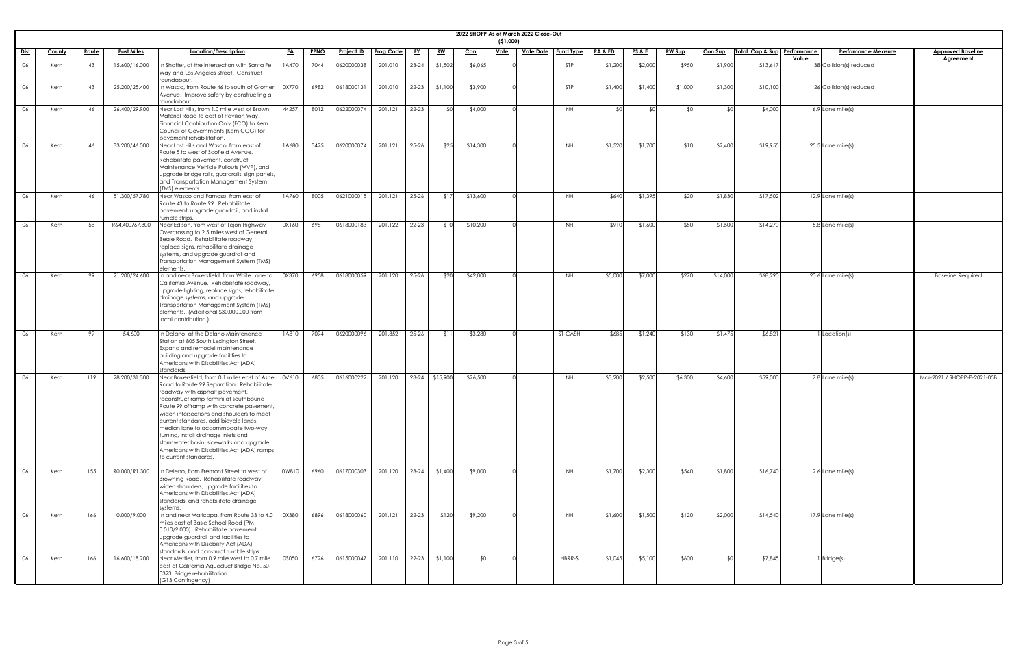|          | ( \$1,000)     | 2022 SHOPP As of March 2022 Close-Out |                  |         |         |               |          |                 |             |                           |                          |
|----------|----------------|---------------------------------------|------------------|---------|---------|---------------|----------|-----------------|-------------|---------------------------|--------------------------|
| Con      | <u>Vote</u>    | <b>Vote Date</b>                      | <b>Fund Type</b> | PA&ED   | PSB     | <b>RW Sup</b> | Con Sup  | Total Cap & Sup | Performance | <b>Perfomance Measure</b> | <b>Approved Baseline</b> |
| \$6,065  | $\overline{O}$ |                                       | <b>STP</b>       | \$1,200 | \$2,000 | \$950         | \$1,900  | \$13,617        | Value       | 38 Collision(s) reduced   | <b>Agreement</b>         |
| \$3,900  | $\overline{O}$ |                                       | <b>STP</b>       | \$1,400 | \$1,400 | \$1,000       | \$1,300  | \$10,100        |             | 26 Collision(s) reduced   |                          |
| \$4,000  | $\overline{O}$ |                                       | <b>NH</b>        | \$0     | \$0     | \$0           | \$0      | \$4,000         |             | 6.9 Lane mile(s)          |                          |
| \$14,300 | $\overline{O}$ |                                       | <b>NH</b>        | \$1,520 | \$1,700 | \$10          | \$2,400  | \$19,955        |             | $25.5$ Lane mile(s)       |                          |
| \$13,600 | $\overline{O}$ |                                       | $\mathsf{NH}\,$  | \$640   | \$1,395 | \$20          | \$1,830  | \$17,502        |             | 12.9 Lane mile(s)         |                          |
| \$10,200 | $\circ$        |                                       | <b>NH</b>        | \$910   | \$1,600 | \$50          | \$1,500  | \$14,270        |             | 5.8 Lane mile(s)          |                          |
| \$42,000 | $\overline{O}$ |                                       | NH               | \$5,000 | \$7,000 | \$270         | \$14,000 | \$68,290        |             | 20.6 Lane mile(s)         | <b>Baseline Required</b> |
| \$3,280  | $\overline{0}$ |                                       | ST-CASH          | \$685   | \$1,240 | \$130         | \$1,475  | \$6,821         |             | 1 Location(s)             |                          |
| \$26,500 | $\circ$        |                                       | <b>NH</b>        | \$3,200 | \$2,500 | \$6,300       | \$4,600  | \$59,000        |             | 7.8 Lane mile(s)          | Mar-2021 / SHOPP-P-202   |
| \$9,000  | $\overline{O}$ |                                       | $\mathsf{NH}\,$  | \$1,700 | \$2,300 | \$540         | \$1,800  | \$16,740        |             | 2.6 Lane mile(s)          |                          |
| \$9,200  | $\overline{0}$ |                                       | <b>NH</b>        | \$1,600 | \$1,500 | \$120         | \$2,000  | \$14,540        |             | 17.9 Lane mile(s)         |                          |
| \$0      | $\overline{O}$ |                                       | HBRR-S           | \$1,045 | \$5,100 | \$600         | $$0$     | \$7,845         |             | $1$ Bridge(s)             |                          |

|                 |        |              |                   |                                                                                                                                                                                                                                                                                                                                                                                                                                                                                                           |           |             |                   |                  |           |                  |            | (51,000)    | 2022 SHOPP As of March 2022 Close-Out |                    |                 |               |                |                             |       |                           |                             |
|-----------------|--------|--------------|-------------------|-----------------------------------------------------------------------------------------------------------------------------------------------------------------------------------------------------------------------------------------------------------------------------------------------------------------------------------------------------------------------------------------------------------------------------------------------------------------------------------------------------------|-----------|-------------|-------------------|------------------|-----------|------------------|------------|-------------|---------------------------------------|--------------------|-----------------|---------------|----------------|-----------------------------|-------|---------------------------|-----------------------------|
| <u>Dist</u>     | County | <u>Route</u> | <b>Post Miles</b> | Location/Description                                                                                                                                                                                                                                                                                                                                                                                                                                                                                      | <u>EA</u> | <b>PPNO</b> | <u>Project ID</u> | <b>Prog Code</b> | <u>FY</u> | <u>RW</u>        | <u>Con</u> | <u>Vote</u> | <u>Vote Date</u>   Fund Type          | <u>PA &amp; ED</u> | <u>PS&amp;E</u> | <b>RW Sup</b> | <b>Con Sup</b> | Total Cap & Sup Performance |       | <b>Perfomance Measure</b> | <b>Approved Baseline</b>    |
| 06              | Kern   | 43           | 15.600/16.000     | In Shafter, at the intersection with Santa Fe<br>Way and Los Angeles Street. Construct<br>roundabout.                                                                                                                                                                                                                                                                                                                                                                                                     | 1A470     | 7044        | 0620000038        | 201.010          | $23 - 24$ | \$1,502          | \$6,065    |             | <b>STP</b>                            | \$1,200            | \$2,000         | \$950         | \$1,900        | \$13,617                    | Value | 38 Collision(s) reduced   | <b>Agreement</b>            |
| 06              | Kern   | -43          | 25.200/25.400     | n Wasco, from Route 46 to south of Gromer<br>Avenue. Improve safety by constructing a<br>roundabout.                                                                                                                                                                                                                                                                                                                                                                                                      | 0X770     | 6982        | 0618000131        | 201.010          | $22 - 23$ | \$1,100          | \$3,900    |             | <b>STP</b>                            | \$1,400            | \$1,400         | \$1,000       | \$1,300        | \$10,100                    |       | 26 Collision(s) reduced   |                             |
| 06              | Kern   | 46           | 26.400/29.900     | Near Lost Hills, from 1.0 mile west of Brown<br>Material Road to east of Pavilion Way.<br>Financial Contribution Only (FCO) to Kern<br>Council of Governments (Kern COG) for<br>pavement rehabilitation.                                                                                                                                                                                                                                                                                                  | 44257     | 8012        | 0622000074        | 201.121          | $22 - 23$ | _ ⊄∩             | \$4,000    |             | <b>NH</b>                             | ΦΛ                 | ¢Λ              |               | י∩\$           | \$4,000                     |       | 6.9 Lane mile(s)          |                             |
| 06              | Kern   | -46          | 33.200/46.000     | Near Lost Hills and Wasco, from east of<br>Route 5 to west of Scofield Avenue.<br>Rehabilitate pavement, construct<br>Maintenance Vehicle Pullouts (MVP), and<br>upgrade bridge rails, guardrails, sign panels,<br>and Transportation Management System<br>(TMS) elements.                                                                                                                                                                                                                                | 1A680     | 3425        | 0620000074        | 201.121          | $25 - 26$ | \$25             | \$14,300   |             | <b>NH</b>                             | \$1,520            | \$1,700         | \$10          | \$2,400        | \$19,955                    |       | $25.5$ Lane mile(s)       |                             |
| 06              | Kern   | 46           | 51.300/57.780     | Near Wasco and Famoso, from east of<br>Route 43 to Route 99. Rehabilitate<br>pavement, upgrade guardrail, and install<br>rumble strips.                                                                                                                                                                                                                                                                                                                                                                   | 1A760     | 8005        | 0621000015        | 201.121          | $25 - 26$ |                  | \$13,600   |             | <b>NH</b>                             | \$640              | \$1,395         | \$20          | \$1,830        | \$17,502                    |       | 12.9 Lane mile(s)         |                             |
| 06              | Kern   | 58           | R64.400/67.300    | Near Edison, from west of Tejon Highway<br>Overcrossing to 2.5 miles west of General<br>Beale Road. Rehabilitate roadway,<br>replace signs, rehabilitate drainage<br>systems, and upgrade guardrail and<br>Transportation Management System (TMS)<br>elements                                                                                                                                                                                                                                             | 0X160     | 6981        | 0618000183        | 201.122          | $22 - 23$ |                  | \$10,200   |             | <b>NH</b>                             | \$910              | \$1,600         | \$50          | \$1,500        | \$14,270                    |       | 5.8 Lane mile(s)          |                             |
| $\cap$ $\angle$ | Kern   |              | 99 21.200/24.600  | In and near Bakersfield, from White Lane to   0X370   6958   0618000059   201.120   25-26   \$20<br>California Avenue. Rehabilitate roadway,<br>upgrade lighting, replace signs, rehabilitate<br>drainage systems, and upgrade<br>Transportation Management System (TMS)<br>elements. (Additional \$30,000,000 from<br>local contribution.)                                                                                                                                                               |           |             |                   |                  |           |                  | \$42,000   |             | <b>NH</b>                             | \$5,000            | \$7,000         | \$270         | \$14,000       | \$68,290                    |       | 20.6 Lane mile(s)         | <b>Baseline Required</b>    |
| 06              | Kern   | 99           | 54.600            | In Delano, at the Delano Maintenance<br>Station at 805 South Lexington Street.<br><b>Expand and remodel maintenance</b><br>building and upgrade facilities to<br>Americans with Disabilities Act (ADA)<br>standards.                                                                                                                                                                                                                                                                                      | 1A810     | 7094        | 0620000096        | 201.352          | $25 - 26$ | -\$11            | \$3,280    |             | ST-CASH                               | \$685              | \$1,240         | \$130         | \$1,475        | \$6,821                     |       | Location(s)               |                             |
| 06              | Kern   | 119          | 28.200/31.300     | Near Bakersfield, from 0.1 miles east of Ashe<br>Road to Route 99 Separation. Rehabilitate<br>roadway with asphalt pavement,<br>reconstruct ramp termini at southbound<br>Route 99 offramp with concrete pavement,<br>widen intersections and shoulders to meet<br>current standards, add bicycle lanes,<br>median lane to accommodate two-way<br>turning, install drainage inlets and<br>stormwater basin, sidewalks and upgrade<br>Americans with Disabilities Act (ADA) ramps<br>to current standards. | 0V610     | 6805        | 0616000222        | 201.120          |           | $23-24$ \$15,900 | \$26,500   |             | <b>NH</b>                             | \$3,200            | \$2,500         | \$6,300       | \$4,600        | \$59,000                    |       | 7.8 Lane mile(s)          | Mar-2021 / SHOPP-P-2021-05B |
| 06              | Kern   | 155          | R0.000/R1.300     | n Deleno, from Fremont Street to west of<br>Browning Road. Rehabilitate roadway,<br>widen shoulders, upgrade facilities to<br>Americans with Disabilities Act (ADA)<br>standards, and rehabilitate drainage<br>systems.                                                                                                                                                                                                                                                                                   | 0W810     | 6960        | 0617000303        | 201.120          | $23 - 24$ | \$1,400          | \$9,000    |             | <b>NH</b>                             | \$1,700            | \$2,300         | \$540         | \$1,800        | \$16,740                    |       | 2.6 Lane mile(s)          |                             |
| 06              | Kern   | 166          | 0.000/9.000       | In and near Maricopa, from Route 33 to 4.0<br>miles east of Basic School Road (PM<br>0.010/9.000). Rehabilitate pavement,<br>upgrade guardrail and facilities to<br>Americans with Disability Act (ADA)<br>standards, and construct rumble strips.                                                                                                                                                                                                                                                        | 0X380     | 6896        | 0618000060        | 201.121          | 22-23     | \$120            | \$9,200    |             | <b>NH</b>                             | \$1,600            | \$1,500         | \$120         | \$2,000        | \$14,540                    |       | $17.9$ Lane mile(s)       |                             |
| 06              | Kern   | 166          | 16.600/18.200     | Near Mettler, from 0.9 mile west to 0.7 mile<br>east of California Aqueduct Bridge No. 50-<br>0323. Bridge rehabilitation.<br>(G13 Contingency)                                                                                                                                                                                                                                                                                                                                                           | 0S050     | 6726        | 0615000047        | 201.110   22-23  |           | \$1,100          | \$0        |             | HBRR-S                                | \$1,045            | \$5,100         | \$600         | ዳଠା            | \$7,845                     |       | 1 Bridge(s)               |                             |

| $\overline{\phantom{a}}$ |
|--------------------------|
|                          |
|                          |
|                          |
|                          |
|                          |
| $\frac{21 - 05B}{2}$     |
|                          |
|                          |
|                          |
|                          |
|                          |
|                          |
|                          |
|                          |
|                          |
|                          |
|                          |
|                          |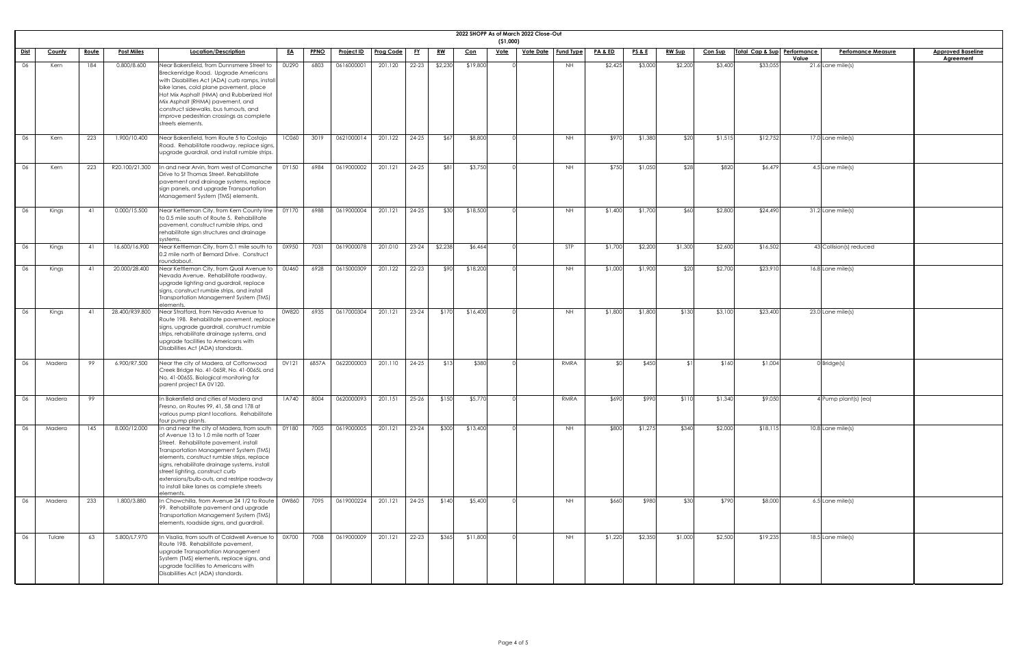| <u>Baseline</u><br>men <u>t</u> |  |
|---------------------------------|--|
|                                 |  |
|                                 |  |
|                                 |  |
|                                 |  |
|                                 |  |
|                                 |  |
|                                 |  |
|                                 |  |
|                                 |  |
|                                 |  |
|                                 |  |
|                                 |  |
|                                 |  |
|                                 |  |
|                                 |  |
|                                 |  |
|                                 |  |
|                                 |  |
|                                 |  |
|                                 |  |
|                                 |  |
|                                 |  |
|                                 |  |
|                                 |  |
|                                 |  |
|                                 |  |
|                                 |  |
|                                 |  |
|                                 |  |
|                                 |  |
|                                 |  |
|                                 |  |
|                                 |  |
|                                 |  |
|                                 |  |
|                                 |  |
|                                 |  |
|                                 |  |
|                                 |  |
|                                 |  |
|                                 |  |
|                                 |  |
|                                 |  |
|                                 |  |
|                                 |  |
|                                 |  |
|                                 |  |
|                                 |  |
|                                 |  |
|                                 |  |
|                                 |  |

|      |               |              |                   |                                                                                                                                                                                                                                                                                                                                                                                                                     |              |             |                   |                  |           |           |            | ( \$1,000)  | 2022 SHOPP As of March 2022 Close-Out |                  |                    |                 |               |                |                             |                           |                          |
|------|---------------|--------------|-------------------|---------------------------------------------------------------------------------------------------------------------------------------------------------------------------------------------------------------------------------------------------------------------------------------------------------------------------------------------------------------------------------------------------------------------|--------------|-------------|-------------------|------------------|-----------|-----------|------------|-------------|---------------------------------------|------------------|--------------------|-----------------|---------------|----------------|-----------------------------|---------------------------|--------------------------|
| Dist | <b>County</b> | <u>Route</u> | <b>Post Miles</b> | Location/Description                                                                                                                                                                                                                                                                                                                                                                                                | <u>EA</u>    | <b>PPNO</b> | <b>Project ID</b> | <b>Prog Code</b> | <u>FY</u> | <u>RW</u> | <u>Con</u> | <u>Vote</u> | <u>Vote Date</u>                      | <b>Fund Type</b> | <u>PA &amp; ED</u> | <b>PS&amp;E</b> | <u>RW Sup</u> | <b>Con Sup</b> | Total Cap & Sup Performance | <b>Perfomance Measure</b> | <b>Approved Baseline</b> |
|      |               |              |                   |                                                                                                                                                                                                                                                                                                                                                                                                                     |              |             |                   |                  |           |           |            |             |                                       |                  |                    |                 |               |                |                             | Value                     | <b>Agreement</b>         |
| 06   | Kern          | 184          | 0.800/8.600       | Near Bakersfield, from Dunnsmere Street to<br>Breckenridge Road. Upgrade Americans<br>with Disabilities Act (ADA) curb ramps, instal<br>bike lanes, cold plane pavement, place<br>Hot Mix Asphalt (HMA) and Rubberized Hot<br>Mix Asphalt (RHMA) pavement, and<br>construct sidewalks, bus turnouts, and<br>improve pedestrian crossings as complete<br>streets elements.                                           | 0U290        | 6803        | 0616000001        | 201.120          | 22-23     | \$2,230   | \$19,800   |             |                                       | NH               | \$2,425            | \$3,000         | \$2,200       | \$3,400        | \$33,055                    | 21.6 Lane mile(s)         |                          |
| 06   | Kern          | 223          | 1.900/10.400      | Near Bakersfield, from Route 5 to Costajo<br>Road. Rehabilitate roadway, replace signs,<br>upgrade guardrail, and install rumble strips.                                                                                                                                                                                                                                                                            | <b>1C060</b> | 3019        | 0621000014        | 201.122          | $24 - 25$ | \$67      | \$8,800    |             |                                       | NH.              | \$970              | \$1,380         | \$20          | \$1,515        | \$12,752                    | $17.0$ Lane mile(s)       |                          |
| 06   | Kern          | 223          | R20.100/21.300    | In and near Arvin, from west of Comanche<br>Drive to St Thomas Street. Rehabilitate<br>pavement and drainage systems, replace<br>sign panels, and upgrade Transportation<br>Management System (TMS) elements.                                                                                                                                                                                                       | 0Y150        | 6984        | 0619000002        | 201.121          | $24 - 25$ | \$81      | \$3,750    |             |                                       | NH.              | \$750              | \$1,050         | \$28          | \$820          | \$6,479                     | 4.5 Lane mile(s)          |                          |
| 06   | Kings         | 41           | 0.000/15.500      | Near Kettleman City, from Kern County line<br>to 0.5 mile south of Route 5. Rehabilitate<br>pavement, construct rumble strips, and<br>rehabilitate sign structures and drainage<br>systems.                                                                                                                                                                                                                         | 0Y170        | 6988        | 0619000004        | 201.121          | $24 - 25$ | \$30      | \$18,500   |             |                                       | NH.              | \$1,400            | \$1,700         | \$60          | \$2,800        | \$24,490                    | 31.2 Lane mile(s)         |                          |
| - 06 | Kings         | - 41         | 16.600/16.900     | Near Kettleman City, from 0.1 mile south to<br>0.2 mile north of Bernard Drive. Construct<br>roundabout                                                                                                                                                                                                                                                                                                             | 0X950        | 7031        | 0619000078        | 201.010          | 23-24     | \$2,238   | \$6,464    |             |                                       | <b>STP</b>       | \$1,700            | \$2,200         | \$1,300       | \$2,600        | \$16,502                    | 43 Collision(s) reduced   |                          |
| 06   | Kings         | - 41         | 20.000/28.400     | Near Kettleman City, from Quail Avenue to<br>Nevada Avenue. Rehabilitate roadway,<br>upgrade lighting and guardrail, replace<br>signs, construct rumble strips, and install<br>Transportation Management System (TMS)<br>elements.                                                                                                                                                                                  | <b>OU460</b> | 6928        | 0615000309        | 201.122          | $22 - 23$ | \$90      | \$18,200   |             |                                       | NH.              | \$1,000            | \$1,900         | <b>\$20</b>   | \$2,700        | \$23,910                    | $16.8$ Lane mile(s)       |                          |
| 06   | Kings         | 41           | 28.400/R39.800    | Near Stratford, from Nevada Avenue to<br>Route 198. Rehabilitate pavement, replace<br>signs, upgrade guardrail, construct rumble<br>strips, rehabilitate drainage systems, and<br>upgrade facilities to Americans with<br>Disabilities Act (ADA) standards.                                                                                                                                                         | 0W820        | 6935        | 0617000304        | 201.121          | $23 - 24$ | \$170     | \$16,400   |             |                                       | NH.              | \$1,800            | \$1,800         | \$130         | \$3,100        | \$23,400                    | $23.0$ Lane mile(s)       |                          |
| - 06 | Madera        | 99           | 6.900/R7.500      | Near the city of Madera, at Cottonwood<br>Creek Bridge No. 41-065R, No. 41-0065L and<br>No. 41-0065S. Biological monitoring for<br>parent project EA 0V120.                                                                                                                                                                                                                                                         | 0V121        | 6857A       | 0622000003        | 201.110          | $24 - 25$ | \$13      | \$380      |             |                                       | RMRA             |                    | \$450           |               | \$160          | \$1,004                     | $0$ Bridge $(s)$          |                          |
| 06   | Madera        | 99           |                   | In Bakersfield and cities of Madera and<br>Fresno, on Routes 99, 41, 58 and 178 at<br>various pump plant locations. Rehabilitate<br>four pump plants.                                                                                                                                                                                                                                                               | 1A740        | 8004        | 0620000093        | 201.151          | $25 - 26$ | \$150     | \$5,770    |             |                                       | RMRA             | \$690              | \$990           | \$110         | \$1,340        | \$9,050                     | 4 Pump plant(s) (ea)      |                          |
| 06   | Madera        | 145          | 8.000/12.000      | In and near the city of Madera, from south<br>of Avenue 13 to 1.0 mile north of Tozer<br>Street. Rehabilitate pavement, install<br>Transportation Management System (TMS)<br>elements, construct rumble strips, replace<br>signs, rehabilitate drainage systems, install<br>street lighting, construct curb<br>extensions/bulb-outs, and restripe roadway<br>to install bike lanes as complete streets<br>elements. | 0Y180        | 7005        | 0619000005        | 201.121          | $23 - 24$ | \$300     | \$13,400   |             |                                       | NH.              | \$800              | \$1,275         | \$340         | \$2,000        | \$18,115                    | $10.8$ Lane mile(s)       |                          |
| 06   | Madera        | 233          | 1.800/3.880       | In Chowchilla, from Avenue 24 1/2 to Route<br>99. Rehabilitate pavement and upgrade<br>Transportation Management System (TMS)<br>elements, roadside signs, and guardrail.                                                                                                                                                                                                                                           | 0W860        | 7095        | 0619000224        | 201.121          | 24-25     | \$140     | \$5,400    |             |                                       | NH.              | \$660              | \$980           | \$30          | \$790          | \$8,000                     | 6.5 Lane mile(s)          |                          |
| 06   | Tulare        | 63           | 5.800/L7.970      | In Visalia, from south of Caldwell Avenue to<br>Route 198. Rehabilitate pavement,<br>upgrade Transportation Management<br>System (TMS) elements, replace signs, and<br>upgrade facilities to Americans with<br>Disabilities Act (ADA) standards.                                                                                                                                                                    | 0X700        | 7008        | 0619000009        | 201.121 22-23    |           | \$365     | \$11,800   |             |                                       | <b>NH</b>        | \$1,220            | \$2,350         | \$1,000       | \$2,500        | \$19,235                    | 18.5 Lane mile(s)         |                          |